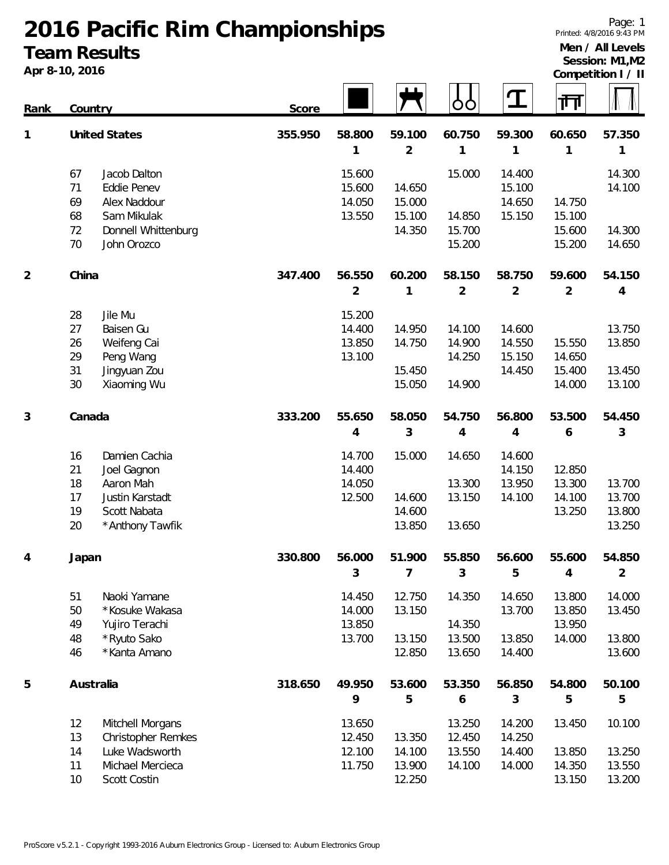### **2016 Pacific Rim Championships Team Results**

**Apr 8-10, 2016**

**Men / All Levels Session: M1,M2**

|                | Apr 8-10, 2016                                                                                                                       |         |                                      |                                      |                                      |                                      |                                      | Competition I / II                   |
|----------------|--------------------------------------------------------------------------------------------------------------------------------------|---------|--------------------------------------|--------------------------------------|--------------------------------------|--------------------------------------|--------------------------------------|--------------------------------------|
| <u>Rank</u>    | Country                                                                                                                              | Score   |                                      |                                      |                                      | $\mathbf T$                          | गा                                   |                                      |
| 1              | <b>United States</b>                                                                                                                 | 355.950 | 58.800<br>1                          | 59.100<br>$\overline{2}$             | 60.750<br>1                          | 59.300<br>1                          | 60.650<br>1                          | 57.350<br>1                          |
|                | 67<br>Jacob Dalton<br>71<br>Eddie Penev<br>69<br>Alex Naddour<br>68<br>Sam Mikulak                                                   |         | 15.600<br>15.600<br>14.050<br>13.550 | 14.650<br>15.000<br>15.100           | 15.000<br>14.850                     | 14.400<br>15.100<br>14.650<br>15.150 | 14.750<br>15.100                     | 14.300<br>14.100                     |
|                | 72<br>Donnell Whittenburg<br>70<br>John Orozco                                                                                       |         |                                      | 14.350                               | 15.700<br>15.200                     |                                      | 15.600<br>15.200                     | 14.300<br>14.650                     |
| $\overline{2}$ | China                                                                                                                                | 347.400 | 56.550<br>2                          | 60.200<br>1                          | 58.150<br>2                          | 58.750<br>$\overline{2}$             | 59.600<br>$\overline{2}$             | 54.150<br>4                          |
|                | 28<br>Jile Mu<br>27<br>Baisen Gu<br>26<br>Weifeng Cai<br>29<br>Peng Wang<br>31<br>Jingyuan Zou<br>30<br>Xiaoming Wu                  |         | 15.200<br>14.400<br>13.850<br>13.100 | 14.950<br>14.750<br>15.450<br>15.050 | 14.100<br>14.900<br>14.250<br>14.900 | 14.600<br>14.550<br>15.150<br>14.450 | 15.550<br>14.650<br>15.400<br>14.000 | 13.750<br>13.850<br>13.450<br>13.100 |
| 3              | Canada                                                                                                                               | 333.200 | 55.650<br>4                          | 58.050<br>3                          | 54.750<br>4                          | 56.800<br>4                          | 53.500<br>6                          | 54.450<br>3                          |
|                | 16<br>Damien Cachia<br>21<br>Joel Gagnon<br>18<br>Aaron Mah<br>17<br>Justin Karstadt<br>19<br>Scott Nabata<br>20<br>* Anthony Tawfik |         | 14.700<br>14.400<br>14.050<br>12.500 | 15.000<br>14.600<br>14.600<br>13.850 | 14.650<br>13.300<br>13.150<br>13.650 | 14.600<br>14.150<br>13.950<br>14.100 | 12.850<br>13.300<br>14.100<br>13.250 | 13.700<br>13.700<br>13.800<br>13.250 |
| 4              | Japan                                                                                                                                | 330.800 | 56.000<br>3                          | 51.900<br>$\overline{7}$             | 55.850<br>3                          | 56.600<br>5                          | 55.600<br>$\overline{4}$             | 54.850<br>$\overline{2}$             |
|                | 51<br>Naoki Yamane<br>50<br>* Kosuke Wakasa<br>49<br>Yujiro Terachi<br>48                                                            |         | 14.450<br>14.000<br>13.850<br>13.700 | 12.750<br>13.150<br>13.150           | 14.350<br>14.350                     | 14.650<br>13.700                     | 13.800<br>13.850<br>13.950           | 14.000<br>13.450<br>13.800           |
|                | * Ryuto Sako<br>* Kanta Amano<br>46                                                                                                  |         |                                      | 12.850                               | 13.500<br>13.650                     | 13.850<br>14.400                     | 14.000                               | 13.600                               |
| 5              | Australia                                                                                                                            | 318.650 | 49.950<br>9                          | 53.600<br>5                          | 53.350<br>6                          | 56.850<br>3                          | 54.800<br>5                          | 50.100<br>5                          |
|                | 12<br>Mitchell Morgans<br>13<br>Christopher Remkes                                                                                   |         | 13.650<br>12.450                     | 13.350                               | 13.250<br>12.450                     | 14.200<br>14.250                     | 13.450                               | 10.100                               |
|                | 14<br>Luke Wadsworth<br>11<br>Michael Mercieca<br>10<br>Scott Costin                                                                 |         | 12.100<br>11.750                     | 14.100<br>13.900<br>12.250           | 13.550<br>14.100                     | 14.400<br>14.000                     | 13.850<br>14.350<br>13.150           | 13.250<br>13.550<br>13.200           |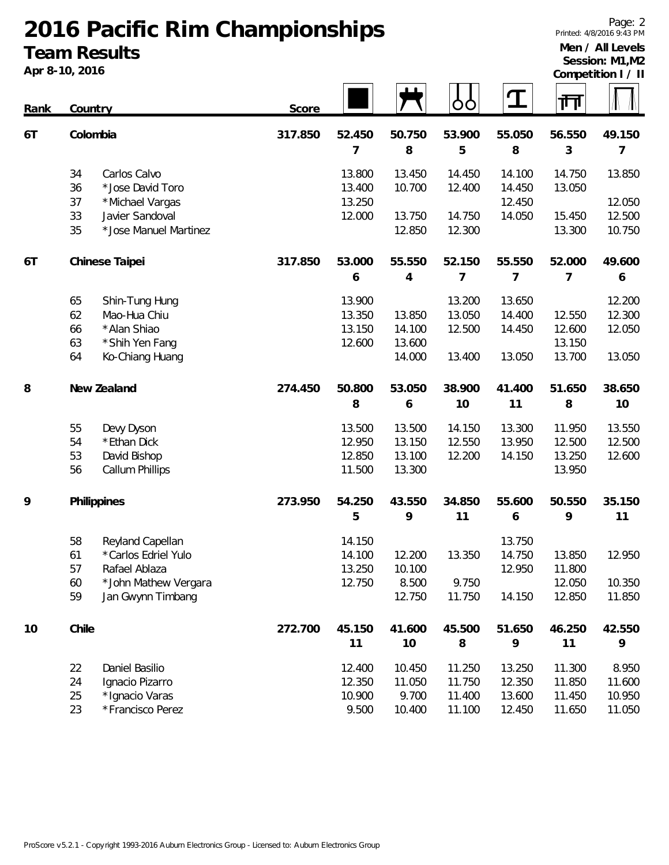# **2016 Pacific Rim Championships Team Results**

**Apr 8-10, 2016**

#### **Men / All Levels Session: M1,M2**

|  |  | Competition I / II |  |  |
|--|--|--------------------|--|--|

| Rank | Country |                        | Score   |        |        |        | $\mathbf T$ | गेग    |        |
|------|---------|------------------------|---------|--------|--------|--------|-------------|--------|--------|
| 6T   |         | Colombia               | 317.850 | 52.450 | 50.750 | 53.900 | 55.050      | 56.550 | 49.150 |
|      |         |                        |         | 7      | 8      | 5      | 8           | 3      | 7      |
|      | 34      | Carlos Calvo           |         | 13.800 | 13.450 | 14.450 | 14.100      | 14.750 | 13.850 |
|      | 36      | *Jose David Toro       |         | 13.400 | 10.700 | 12.400 | 14.450      | 13.050 |        |
|      | 37      | *Michael Vargas        |         | 13.250 |        |        | 12.450      |        | 12.050 |
|      | 33      | Javier Sandoval        |         | 12.000 | 13.750 | 14.750 | 14.050      | 15.450 | 12.500 |
|      | 35      | * Jose Manuel Martinez |         |        | 12.850 | 12.300 |             | 13.300 | 10.750 |
| 6T   |         | Chinese Taipei         | 317.850 | 53.000 | 55.550 | 52.150 | 55.550      | 52.000 | 49.600 |
|      |         |                        |         | 6      | 4      | 7      | 7           | 7      | 6      |
|      | 65      | Shin-Tung Hung         |         | 13.900 |        | 13.200 | 13.650      |        | 12.200 |
|      | 62      | Mao-Hua Chiu           |         | 13.350 | 13.850 | 13.050 | 14.400      | 12.550 | 12.300 |
|      | 66      | * Alan Shiao           |         | 13.150 | 14.100 | 12.500 | 14.450      | 12.600 | 12.050 |
|      | 63      | * Shih Yen Fang        |         | 12.600 | 13.600 |        |             | 13.150 |        |
|      | 64      | Ko-Chiang Huang        |         |        | 14.000 | 13.400 | 13.050      | 13.700 | 13.050 |
| 8    |         | New Zealand            | 274.450 | 50.800 | 53.050 | 38.900 | 41.400      | 51.650 | 38.650 |
|      |         |                        |         | 8      | 6      | 10     | 11          | 8      | 10     |
|      | 55      | Devy Dyson             |         | 13.500 | 13.500 | 14.150 | 13.300      | 11.950 | 13.550 |
|      | 54      | * Ethan Dick           |         | 12.950 | 13.150 | 12.550 | 13.950      | 12.500 | 12.500 |
|      | 53      | David Bishop           |         | 12.850 | 13.100 | 12.200 | 14.150      | 13.250 | 12.600 |
|      | 56      | Callum Phillips        |         | 11.500 | 13.300 |        |             | 13.950 |        |
| 9    |         | Philippines            | 273.950 | 54.250 | 43.550 | 34.850 | 55.600      | 50.550 | 35.150 |
|      |         |                        |         | 5      | 9      | 11     | 6           | 9      | 11     |
|      | 58      | Reyland Capellan       |         | 14.150 |        |        | 13.750      |        |        |
|      | 61      | *Carlos Edriel Yulo    |         | 14.100 | 12.200 | 13.350 | 14.750      | 13.850 | 12.950 |
|      | 57      | Rafael Ablaza          |         | 13.250 | 10.100 |        | 12.950      | 11.800 |        |
|      | 60      | * John Mathew Vergara  |         | 12.750 | 8.500  | 9.750  |             | 12.050 | 10.350 |
|      | 59      | Jan Gwynn Timbang      |         |        | 12.750 | 11.750 | 14.150      | 12.850 | 11.850 |
| 10   | Chile   |                        | 272.700 | 45.150 | 41.600 | 45.500 | 51.650      | 46.250 | 42.550 |
|      |         |                        |         | 11     | 10     | 8      | 9           | 11     | 9      |
|      | 22      | Daniel Basilio         |         | 12.400 | 10.450 | 11.250 | 13.250      | 11.300 | 8.950  |
|      | 24      | Ignacio Pizarro        |         | 12.350 | 11.050 | 11.750 | 12.350      | 11.850 | 11.600 |
|      | 25      | * Ignacio Varas        |         | 10.900 | 9.700  | 11.400 | 13.600      | 11.450 | 10.950 |
|      | 23      | *Francisco Perez       |         | 9.500  | 10.400 | 11.100 | 12.450      | 11.650 | 11.050 |